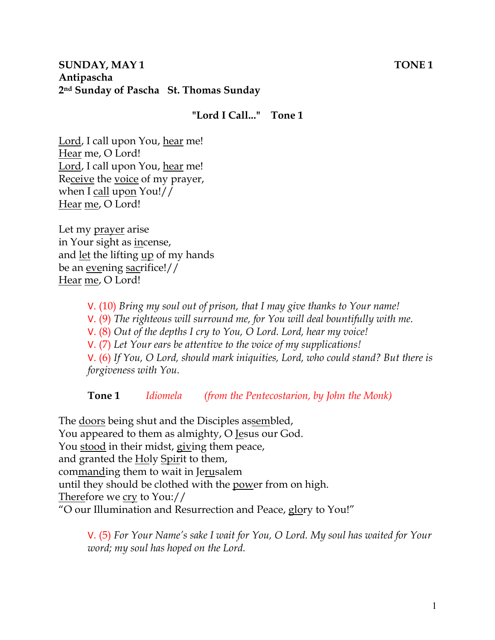## **SUNDAY, MAY 1** TONE 1 **Antipascha 2nd Sunday of Pascha St. Thomas Sunday**

## **"Lord I Call..." Tone 1**

Lord, I call upon You, hear me! Hear me, O Lord! Lord, I call upon You, hear me! Receive the voice of my prayer, when I call upon You!// Hear me, O Lord!

Let my prayer arise in Your sight as incense, and <u>let</u> the lifting <u>up</u> of my hands be an evening sacrifice!// Hear me, O Lord!

V. (10) *Bring my soul out of prison, that I may give thanks to Your name!* 

V. (9) *The righteous will surround me, for You will deal bountifully with me.* 

V. (8) *Out of the depths I cry to You, O Lord. Lord, hear my voice!* 

V. (7) *Let Your ears be attentive to the voice of my supplications!*

V. (6) *If You, O Lord, should mark iniquities, Lord, who could stand? But there is forgiveness with You.* 

**Tone 1** *Idiomela (from the Pentecostarion, by John the Monk)*

The <u>doors</u> being shut and the Disciples assembled, You appeared to them as almighty, O Jesus our God. You stood in their midst, giving them peace, and granted the Holy Spirit to them, commanding them to wait in Jerusalem until they should be clothed with the power from on high. Therefore we cry to You:// "O our Illumination and Resurrection and Peace, glory to You!"

V. (5) *For Your Name's sake I wait for You, O Lord. My soul has waited for Your word; my soul has hoped on the Lord.*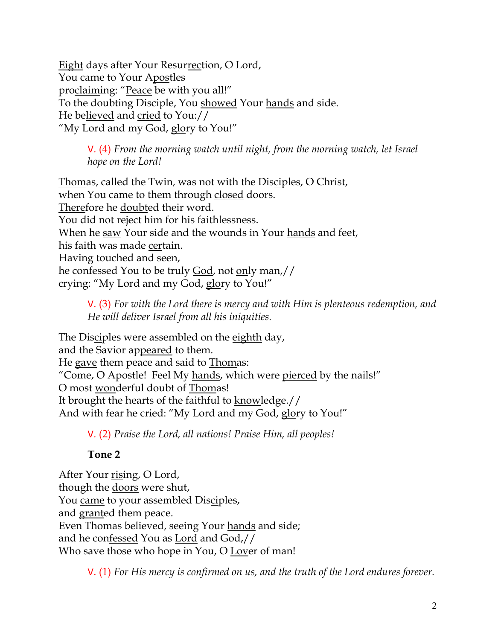Eight days after Your Resurrection, O Lord, You came to Your Apostles proclaiming: "Peace be with you all!" To the doubting Disciple, You showed Your hands and side. He believed and cried to You:// "My Lord and my God, glory to You!"

V. (4) *From the morning watch until night, from the morning watch, let Israel hope on the Lord!* 

Thomas, called the Twin, was not with the Disciples, O Christ, when You came to them through closed doors. Therefore he doubted their word. You did not reject him for his faithlessness. When he saw Your side and the wounds in Your hands and feet, his faith was made certain. Having touched and seen, he confessed You to be truly God, not only man,// crying: "My Lord and my God, glory to You!"

V. (3) *For with the Lord there is mercy and with Him is plenteous redemption, and He will deliver Israel from all his iniquities.*

The Disciples were assembled on the eighth day, and the Savior appeared to them. He gave them peace and said to Thomas: "Come, O Apostle! Feel My hands, which were pierced by the nails!" O most wonderful doubt of Thomas! It brought the hearts of the faithful to knowledge.// And with fear he cried: "My Lord and my God, glory to You!"

V. (2) *Praise the Lord, all nations! Praise Him, all peoples!*

**Tone 2**

After Your rising, O Lord, though the <u>doors</u> were shut, You came to your assembled Disciples, and granted them peace. Even Thomas believed, seeing Your hands and side; and he confessed You as Lord and God,// Who save those who hope in You, O Lover of man!

V. (1) *For His mercy is confirmed on us, and the truth of the Lord endures forever.*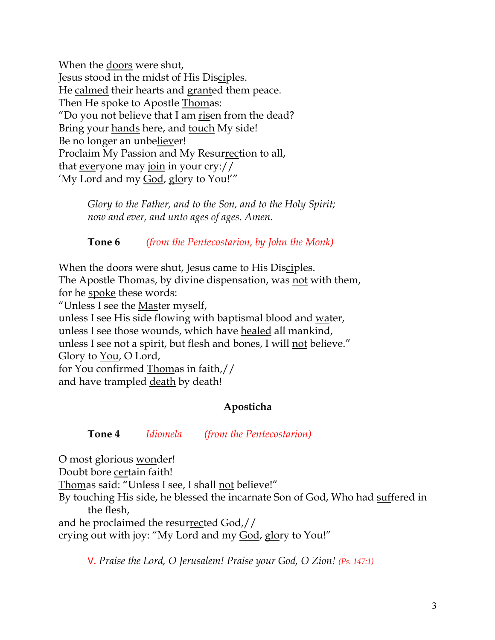When the doors were shut, Jesus stood in the midst of His Disciples. He calmed their hearts and granted them peace. Then He spoke to Apostle Thomas: "Do you not believe that I am risen from the dead? Bring your hands here, and touch My side! Be no longer an unbeliever! Proclaim My Passion and My Resurrection to all, that everyone may join in your cry:// 'My Lord and my God, glory to You!'"

> *Glory to the Father, and to the Son, and to the Holy Spirit; now and ever, and unto ages of ages. Amen.*

> **Tone 6** *(from the Pentecostarion, by John the Monk)*

When the doors were shut, Jesus came to His Disciples. The Apostle Thomas, by divine dispensation, was not with them, for he spoke these words:

"Unless I see the  $M$ aster myself,

unless I see His side flowing with baptismal blood and water, unless I see those wounds, which have healed all mankind, unless I see not a spirit, but flesh and bones, I will not believe." Glory to You, O Lord, for You confirmed Thomas in faith,//

and have trampled death by death!

# **Aposticha**

# **Tone 4** *Idiomela (from the Pentecostarion)*

O most glorious wonder! Doubt bore certain faith! Thomas said: "Unless I see, I shall not believe!" By touching His side, he blessed the incarnate Son of God, Who had suffered in the flesh, and he proclaimed the resurrected God,// crying out with joy: "My Lord and my God, glory to You!"

V. *Praise the Lord, O Jerusalem! Praise your God, O Zion! (Ps. 147:1)*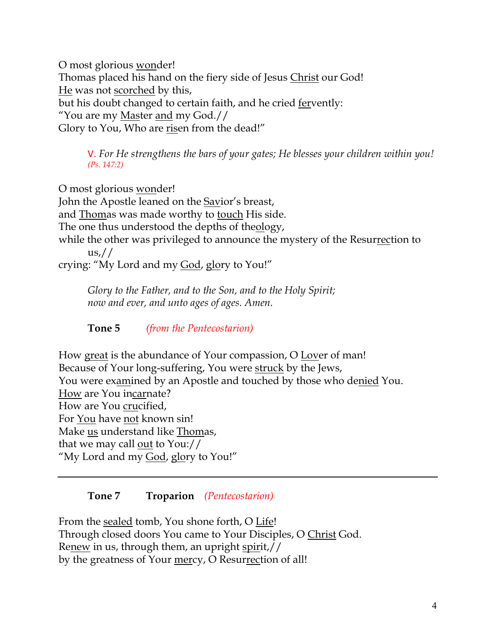O most glorious wonder! Thomas placed his hand on the fiery side of Jesus Christ our God! He was not scorched by this, but his doubt changed to certain faith, and he cried fervently: "You are my Master and my God.// Glory to You, Who are risen from the dead!"

V. *For He strengthens the bars of your gates; He blesses your children within you! (Ps. 147:2)*

O most glorious wonder! John the Apostle leaned on the Savior's breast, and Thomas was made worthy to touch His side. The one thus understood the depths of theology, while the other was privileged to announce the mystery of the Resurrection to  $\frac{us}{l}$ crying: "My Lord and my God, glory to You!"

*Glory to the Father, and to the Son, and to the Holy Spirit; now and ever, and unto ages of ages. Amen.*

**Tone 5** *(from the Pentecostarion)*

How great is the abundance of Your compassion, O Lover of man! Because of Your long-suffering, You were struck by the Jews, You were examined by an Apostle and touched by those who denied You. How are You incarnate? How are You crucified, For You have not known sin! Make us understand like Thomas, that we may call out to You:// "My Lord and my God, glory to You!"

# **Tone 7 Troparion** *(Pentecostarion)*

From the sealed tomb, You shone forth, O Life! Through closed doors You came to Your Disciples, O Christ God. Renew in us, through them, an upright spirit,// by the greatness of Your mercy, O Resurrection of all!